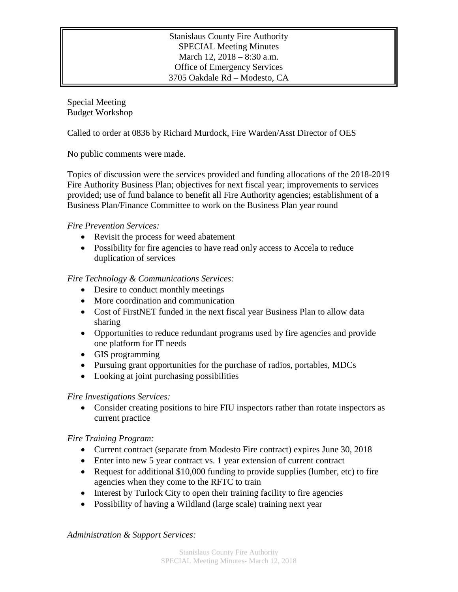## Stanislaus County Fire Authority SPECIAL Meeting Minutes March 12, 2018 – 8:30 a.m. Office of Emergency Services 3705 Oakdale Rd – Modesto, CA

Special Meeting Budget Workshop

Called to order at 0836 by Richard Murdock, Fire Warden/Asst Director of OES

No public comments were made.

Topics of discussion were the services provided and funding allocations of the 2018-2019 Fire Authority Business Plan; objectives for next fiscal year; improvements to services provided; use of fund balance to benefit all Fire Authority agencies; establishment of a Business Plan/Finance Committee to work on the Business Plan year round

### *Fire Prevention Services:*

- Revisit the process for weed abatement
- Possibility for fire agencies to have read only access to Accela to reduce duplication of services

# *Fire Technology & Communications Services:*

- Desire to conduct monthly meetings
- More coordination and communication
- Cost of FirstNET funded in the next fiscal year Business Plan to allow data sharing
- Opportunities to reduce redundant programs used by fire agencies and provide one platform for IT needs
- GIS programming
- Pursuing grant opportunities for the purchase of radios, portables, MDCs
- Looking at joint purchasing possibilities

### *Fire Investigations Services:*

• Consider creating positions to hire FIU inspectors rather than rotate inspectors as current practice

### *Fire Training Program:*

- Current contract (separate from Modesto Fire contract) expires June 30, 2018
- Enter into new 5 year contract vs. 1 year extension of current contract
- Request for additional \$10,000 funding to provide supplies (lumber, etc) to fire agencies when they come to the RFTC to train
- Interest by Turlock City to open their training facility to fire agencies
- Possibility of having a Wildland (large scale) training next year

*Administration & Support Services:*